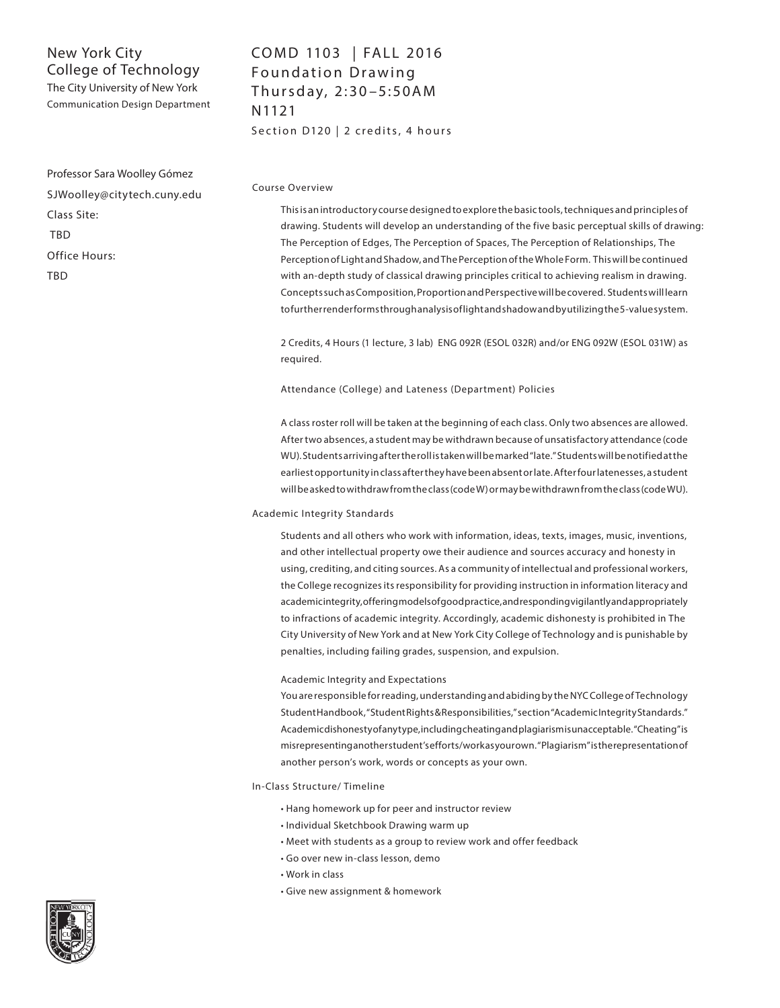The City University of New York Communication Design Department

# COMD 1103 | FALL 2016 Foundation Drawing Thursday, 2:30-5:50AM N1121 Section D120 | 2 credits, 4 hours

Professor Sara Woolley Gómez SJWoolley@citytech.cuny.edu Class Site: TBD Office Hours: TBD

## Course Overview

This is an introductory course designed to explore the basic tools, techniques and principles of drawing. Students will develop an understanding of the five basic perceptual skills of drawing: The Perception of Edges, The Perception of Spaces, The Perception of Relationships, The Perception of Light and Shadow, and The Perception of the Whole Form. This will be continued with an-depth study of classical drawing principles critical to achieving realism in drawing. Concepts such as Composition, Proportion and Perspective will be covered. Students will learn to further render forms through analysis of light and shadow and by utilizing the 5-value system.

2 Credits, 4 Hours (1 lecture, 3 lab) ENG 092R (ESOL 032R) and/or ENG 092W (ESOL 031W) as required.

Attendance (College) and Lateness (Department) Policies

A class roster roll will be taken at the beginning of each class. Only two absences are allowed. After two absences, a student may be withdrawn because of unsatisfactory attendance (code WU). Students arriving after the roll is taken will be marked "late." Students will be notified at the earliest opportunity in class after they have been absent or late. After four latenesses, a student will be asked to withdraw from the class (code W) or may be withdrawn from the class (code WU).

#### Academic Integrity Standards

Students and all others who work with information, ideas, texts, images, music, inventions, and other intellectual property owe their audience and sources accuracy and honesty in using, crediting, and citing sources. As a community of intellectual and professional workers, the College recognizes its responsibility for providing instruction in information literacy and academic integrity, offering models of good practice, and responding vigilantly and appropriately to infractions of academic integrity. Accordingly, academic dishonesty is prohibited in The City University of New York and at New York City College of Technology and is punishable by penalties, including failing grades, suspension, and expulsion.

#### Academic Integrity and Expectations

You are responsible for reading, understanding and abiding by the NYC College of Technology Student Handbook, "Student Rights & Responsibilities," section "Academic Integrity Standards." Academic dishonesty of any type, including cheating and plagiarism is unacceptable. "Cheating" is misrepresenting another student's efforts/work as your own. "Plagiarism" is the representation of another person's work, words or concepts as your own.

#### In-Class Structure/ Timeline

- Hang homework up for peer and instructor review
- Individual Sketchbook Drawing warm up
- Meet with students as a group to review work and offer feedback
- Go over new in-class lesson, demo
- Work in class
- Give new assignment & homework

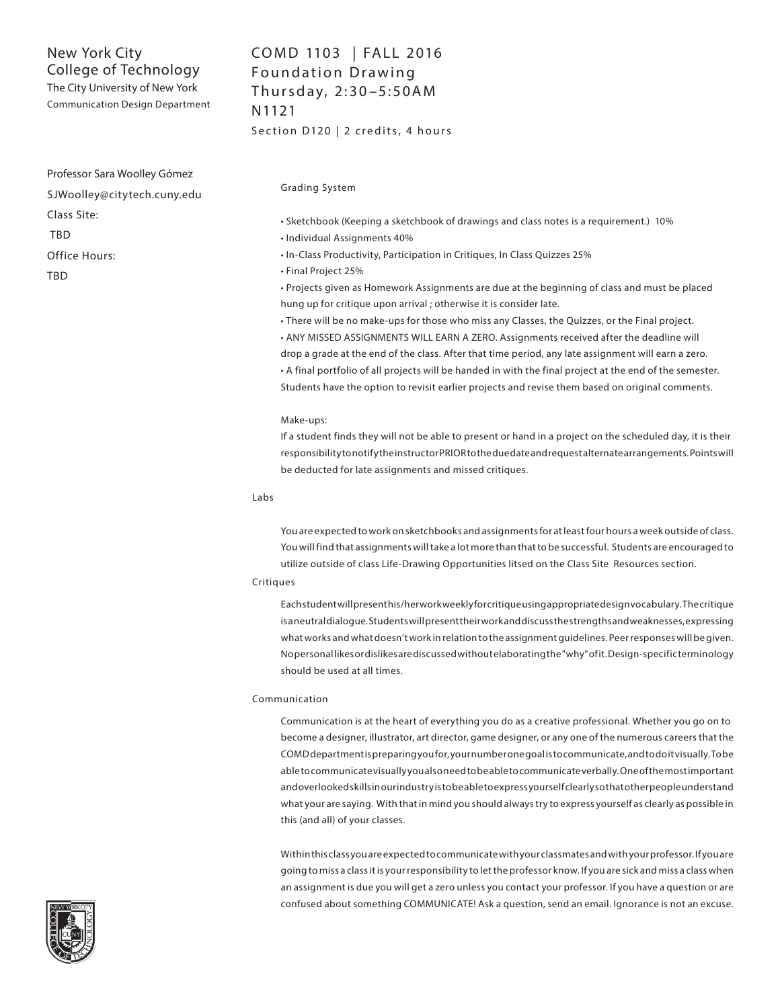The City University of New York Communication Design Department

Professor Sara Woolley Gómez SJWoolley@citytech.cuny.edu Class Site: TBD Office Hours: TBD

# COMD 1103 | FALL 2016 Foundation Drawing Thursday, 2:30-5:50AM N1121 Section D120 | 2 credits, 4 hours

Grading System

• Sketchbook (Keeping a sketchbook of drawings and class notes is a requirement.) 10%

• Individual Assignments 40%

- In-Class Productivity, Participation in Critiques, In Class Quizzes 25%
- Final Project 25%

• Projects given as Homework Assignments are due at the beginning of class and must be placed hung up for critique upon arrival ; otherwise it is consider late.

• There will be no make-ups for those who miss any Classes, the Quizzes, or the Final project. • ANY MISSED ASSIGNMENTS WILL EARN A ZERO. Assignments received after the deadline will drop a grade at the end of the class. After that time period, any late assignment will earn a zero. • A final portfolio of all projects will be handed in with the final project at the end of the semester. Students have the option to revisit earlier projects and revise them based on original comments.

## Make-ups:

If a student finds they will not be able to present or hand in a project on the scheduled day, it is their responsibility to notify the instructor PRIOR to the due date and request alternate arrangements. Points will be deducted for late assignments and missed critiques.

#### Labs

You are expected to work on sketchbooks and assignments for at least four hours a week outside of class. You will find that assignments will take a lot more than that to be successful. Students are encouraged to utilize outside of class Life-Drawing Opportunities litsed on the Class Site Resources section.

#### Critiques

Each student will present his/her work weekly for critique using appropriate design vocabulary. The critique is a neutral dialogue. Students will present their work and discuss the strengths and weaknesses, expressing what works and what doesn't work in relation to the assignment guidelines. Peer responses will be given. No personal likes or dislikes are discussed without elaborating the "why" of it. Design-specific terminology should be used at all times.

#### Communication

Communication is at the heart of everything you do as a creative professional. Whether you go on to become a designer, illustrator, art director, game designer, or any one of the numerous careers that the COMD department is preparing you for, your number one goal is to communicate, and to do it visually. To be able to communicate visually you also need to be able to communicate verbally. One of the most important and overlooked skills in our industry is to be able to express yourself clearly so that other people understand what your are saying. With that in mind you should always try to express yourself as clearly as possible in this (and all) of your classes.

Within this class you are expected to communicate with your classmates and with your professor. If you are going to miss a class it is your responsibility to let the professor know. If you are sick and miss a class when an assignment is due you will get a zero unless you contact your professor. If you have a question or are confused about something COMMUNICATE! Ask a question, send an email. Ignorance is not an excuse.

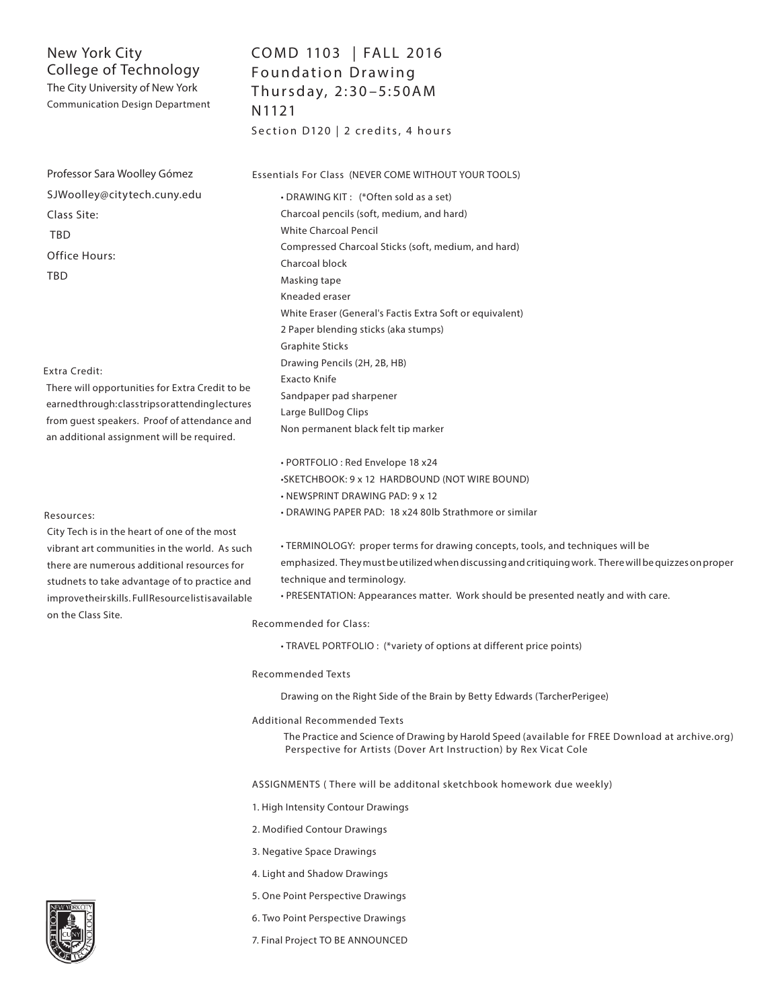The City University of New York Communication Design Department

Professor Sara Woolley Gómez SJWoolley@citytech.cuny.edu Class Site: TBD Office Hours: TBD

## Extra Credit:

There will opportunities for Extra Credit to be earned through: class trips or attending lectures from guest speakers. Proof of attendance and an additional assignment will be required.

#### Resources:

City Tech is in the heart of one of the most vibrant art communities in the world. As such there are numerous additional resources for studnets to take advantage of to practice and improve their skills. Full Resource list is available on the Class Site.

# COMD 1103 | FALL 2016 Foundation Drawing Thursday, 2:30-5:50AM N1121

Section D120 | 2 credits, 4 hours

Essentials For Class (NEVER COME WITHOUT YOUR TOOLS)

• DRAWING KIT : (\*Often sold as a set) Charcoal pencils (soft, medium, and hard) White Charcoal Pencil Compressed Charcoal Sticks (soft, medium, and hard) Charcoal block Masking tape Kneaded eraser White Eraser (General's Factis Extra Soft or equivalent) 2 Paper blending sticks (aka stumps) Graphite Sticks Drawing Pencils (2H, 2B, HB) Exacto Knife Sandpaper pad sharpener Large BullDog Clips Non permanent black felt tip marker

• PORTFOLIO : Red Envelope 18 x24

•SKETCHBOOK: 9 x 12 HARDBOUND (NOT WIRE BOUND)

- NEWSPRINT DRAWING PAD: 9 x 12
- DRAWING PAPER PAD: 18 x24 80lb Strathmore or similar

• TERMINOLOGY: proper terms for drawing concepts, tools, and techniques will be emphasized. They must be utilized when discussing and critiquing work. There will be quizzes on proper technique and terminology.

• PRESENTATION: Appearances matter. Work should be presented neatly and with care.

## Recommended for Class:

• TRAVEL PORTFOLIO : (\*variety of options at different price points)

## Recommended Texts

Drawing on the Right Side of the Brain by Betty Edwards (TarcherPerigee)

Additional Recommended Texts

 The Practice and Science of Drawing by Harold Speed (available for FREE Download at archive.org) Perspective for Artists (Dover Art Instruction) by Rex Vicat Cole

ASSIGNMENTS ( There will be additonal sketchbook homework due weekly)

1. High Intensity Contour Drawings

2. Modified Contour Drawings

3. Negative Space Drawings

- 4. Light and Shadow Drawings
- 5. One Point Perspective Drawings
- 6. Two Point Perspective Drawings
- 7. Final Project TO BE ANNOUNCED